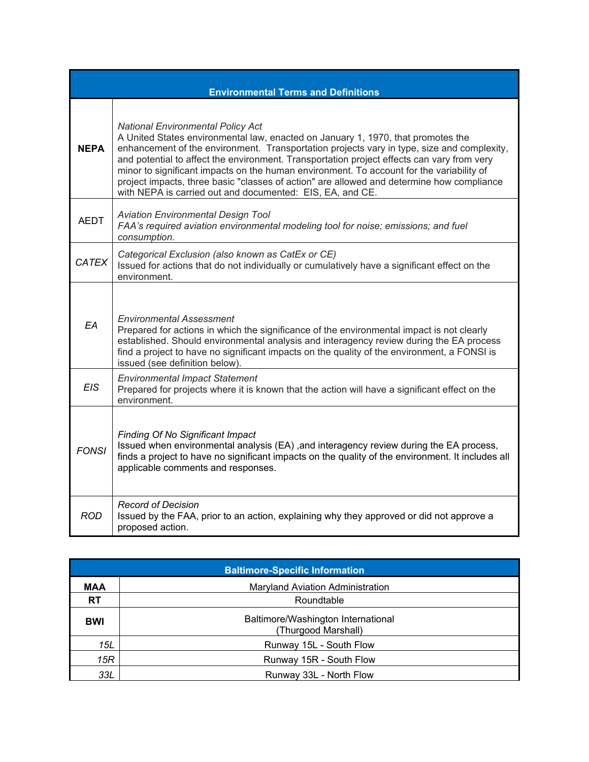| <b>Environmental Terms and Definitions</b> |                                                                                                                                                                                                                                                                                                                                                                                                                                                                                                                                                                                |  |  |  |
|--------------------------------------------|--------------------------------------------------------------------------------------------------------------------------------------------------------------------------------------------------------------------------------------------------------------------------------------------------------------------------------------------------------------------------------------------------------------------------------------------------------------------------------------------------------------------------------------------------------------------------------|--|--|--|
| <b>NEPA</b>                                | <b>National Environmental Policy Act</b><br>A United States environmental law, enacted on January 1, 1970, that promotes the<br>enhancement of the environment. Transportation projects vary in type, size and complexity,<br>and potential to affect the environment. Transportation project effects can vary from very<br>minor to significant impacts on the human environment. To account for the variability of<br>project impacts, three basic "classes of action" are allowed and determine how compliance<br>with NEPA is carried out and documented: EIS, EA, and CE. |  |  |  |
| <b>AEDT</b>                                | <b>Aviation Environmental Design Tool</b><br>FAA's required aviation environmental modeling tool for noise; emissions; and fuel<br>consumption.                                                                                                                                                                                                                                                                                                                                                                                                                                |  |  |  |
| <b>CATEX</b>                               | Categorical Exclusion (also known as CatEx or CE)<br>Issued for actions that do not individually or cumulatively have a significant effect on the<br>environment.                                                                                                                                                                                                                                                                                                                                                                                                              |  |  |  |
| EA                                         | <b>Environmental Assessment</b><br>Prepared for actions in which the significance of the environmental impact is not clearly<br>established. Should environmental analysis and interagency review during the EA process<br>find a project to have no significant impacts on the quality of the environment, a FONSI is<br>issued (see definition below).                                                                                                                                                                                                                       |  |  |  |
| <b>EIS</b>                                 | <b>Environmental Impact Statement</b><br>Prepared for projects where it is known that the action will have a significant effect on the<br>environment.                                                                                                                                                                                                                                                                                                                                                                                                                         |  |  |  |
| <b>FONSI</b>                               | Finding Of No Significant Impact<br>Issued when environmental analysis (EA) , and interagency review during the EA process,<br>finds a project to have no significant impacts on the quality of the environment. It includes all<br>applicable comments and responses.                                                                                                                                                                                                                                                                                                         |  |  |  |
| <b>ROD</b>                                 | <b>Record of Decision</b><br>Issued by the FAA, prior to an action, explaining why they approved or did not approve a<br>proposed action.                                                                                                                                                                                                                                                                                                                                                                                                                                      |  |  |  |

| <b>Baltimore-Specific Information</b> |                                                           |  |  |  |
|---------------------------------------|-----------------------------------------------------------|--|--|--|
| <b>MAA</b>                            | <b>Maryland Aviation Administration</b>                   |  |  |  |
| <b>RT</b>                             | Roundtable                                                |  |  |  |
| <b>BWI</b>                            | Baltimore/Washington International<br>(Thurgood Marshall) |  |  |  |
| 15L                                   | Runway 15L - South Flow                                   |  |  |  |
| 15R                                   | Runway 15R - South Flow                                   |  |  |  |
| 33L                                   | Runway 33L - North Flow                                   |  |  |  |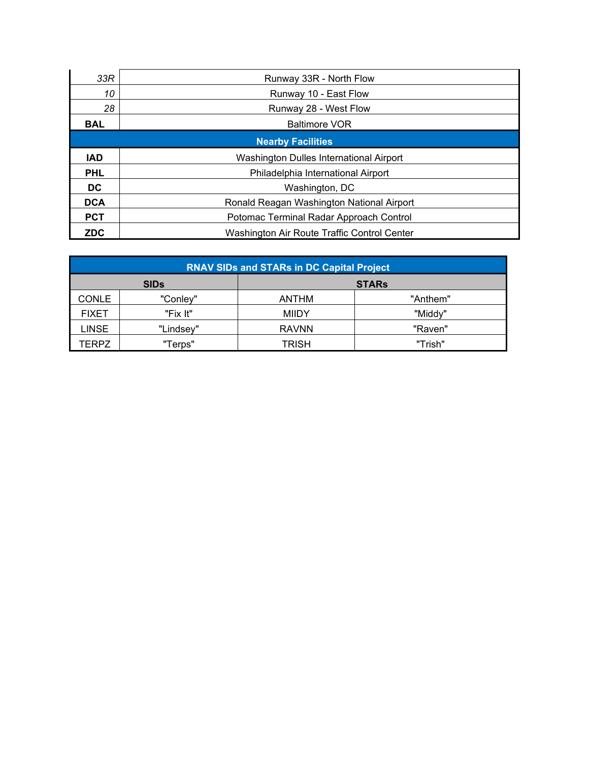| 33R                      | Runway 33R - North Flow                     |  |  |  |
|--------------------------|---------------------------------------------|--|--|--|
| 10                       | Runway 10 - East Flow                       |  |  |  |
| 28                       | Runway 28 - West Flow                       |  |  |  |
| <b>BAL</b>               | <b>Baltimore VOR</b>                        |  |  |  |
| <b>Nearby Facilities</b> |                                             |  |  |  |
| <b>IAD</b>               | Washington Dulles International Airport     |  |  |  |
| <b>PHL</b>               | Philadelphia International Airport          |  |  |  |
| DC.                      | Washington, DC                              |  |  |  |
| <b>DCA</b>               | Ronald Reagan Washington National Airport   |  |  |  |
| <b>PCT</b>               | Potomac Terminal Radar Approach Control     |  |  |  |
| <b>ZDC</b>               | Washington Air Route Traffic Control Center |  |  |  |

| <b>RNAV SIDs and STARs in DC Capital Project</b> |             |              |          |  |  |  |
|--------------------------------------------------|-------------|--------------|----------|--|--|--|
|                                                  | <b>SIDs</b> | <b>STARs</b> |          |  |  |  |
| <b>CONLE</b>                                     | "Conley"    | <b>ANTHM</b> | "Anthem" |  |  |  |
| <b>FIXET</b>                                     | "Fix It"    | <b>MIIDY</b> | "Middy"  |  |  |  |
| LINSE                                            | "Lindsey"   | <b>RAVNN</b> | "Raven"  |  |  |  |
| TERPZ                                            | "Terps"     | <b>TRISH</b> | "Trish"  |  |  |  |